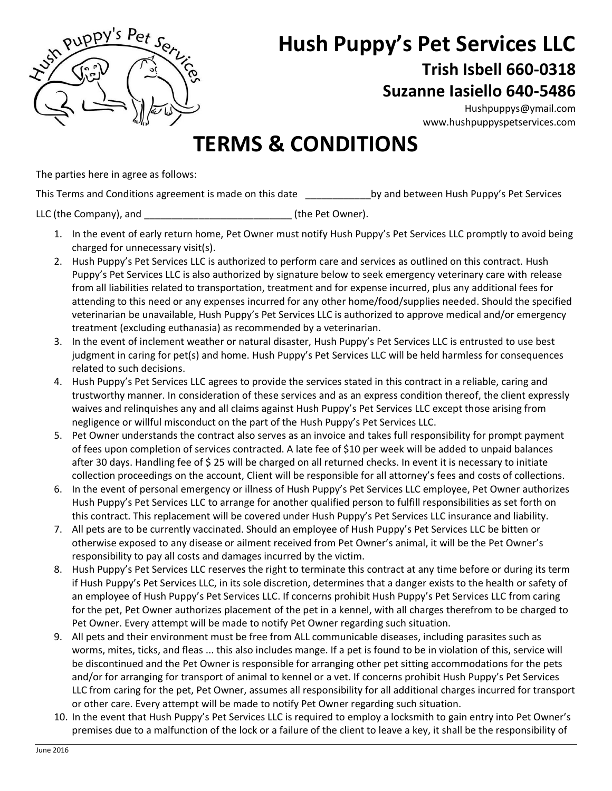

## **Hush Puppy's Pet Services LLC Trish Isbell 660-0318 Suzanne Iasiello 640-5486**

[Hushpuppys@ymail.com](mailto:Hushpuppys@ymail.com) [www.hushpuppyspetservices.com](http://www.hushpuppyspetservices.com/)

## **TERMS & CONDITIONS**

The parties here in agree as follows:

This Terms and Conditions agreement is made on this date by and between Hush Puppy's Pet Services

LLC (the Company), and \_\_\_\_\_\_\_\_\_\_\_\_\_\_\_\_\_\_\_\_\_\_\_\_\_\_\_ (the Pet Owner).

- 1. In the event of early return home, Pet Owner must notify Hush Puppy's Pet Services LLC promptly to avoid being charged for unnecessary visit(s).
- 2. Hush Puppy's Pet Services LLC is authorized to perform care and services as outlined on this contract. Hush Puppy's Pet Services LLC is also authorized by signature below to seek emergency veterinary care with release from all liabilities related to transportation, treatment and for expense incurred, plus any additional fees for attending to this need or any expenses incurred for any other home/food/supplies needed. Should the specified veterinarian be unavailable, Hush Puppy's Pet Services LLC is authorized to approve medical and/or emergency treatment (excluding euthanasia) as recommended by a veterinarian.
- 3. In the event of inclement weather or natural disaster, Hush Puppy's Pet Services LLC is entrusted to use best judgment in caring for pet(s) and home. Hush Puppy's Pet Services LLC will be held harmless for consequences related to such decisions.
- 4. Hush Puppy's Pet Services LLC agrees to provide the services stated in this contract in a reliable, caring and trustworthy manner. In consideration of these services and as an express condition thereof, the client expressly waives and relinquishes any and all claims against Hush Puppy's Pet Services LLC except those arising from negligence or willful misconduct on the part of the Hush Puppy's Pet Services LLC.
- 5. Pet Owner understands the contract also serves as an invoice and takes full responsibility for prompt payment of fees upon completion of services contracted. A late fee of \$10 per week will be added to unpaid balances after 30 days. Handling fee of \$ 25 will be charged on all returned checks. In event it is necessary to initiate collection proceedings on the account, Client will be responsible for all attorney's fees and costs of collections.
- 6. In the event of personal emergency or illness of Hush Puppy's Pet Services LLC employee, Pet Owner authorizes Hush Puppy's Pet Services LLC to arrange for another qualified person to fulfill responsibilities as set forth on this contract. This replacement will be covered under Hush Puppy's Pet Services LLC insurance and liability.
- 7. All pets are to be currently vaccinated. Should an employee of Hush Puppy's Pet Services LLC be bitten or otherwise exposed to any disease or ailment received from Pet Owner's animal, it will be the Pet Owner's responsibility to pay all costs and damages incurred by the victim.
- 8. Hush Puppy's Pet Services LLC reserves the right to terminate this contract at any time before or during its term if Hush Puppy's Pet Services LLC, in its sole discretion, determines that a danger exists to the health or safety of an employee of Hush Puppy's Pet Services LLC. If concerns prohibit Hush Puppy's Pet Services LLC from caring for the pet, Pet Owner authorizes placement of the pet in a kennel, with all charges therefrom to be charged to Pet Owner. Every attempt will be made to notify Pet Owner regarding such situation.
- 9. All pets and their environment must be free from ALL communicable diseases, including parasites such as worms, mites, ticks, and fleas ... this also includes mange. If a pet is found to be in violation of this, service will be discontinued and the Pet Owner is responsible for arranging other pet sitting accommodations for the pets and/or for arranging for transport of animal to kennel or a vet. If concerns prohibit Hush Puppy's Pet Services LLC from caring for the pet, Pet Owner, assumes all responsibility for all additional charges incurred for transport or other care. Every attempt will be made to notify Pet Owner regarding such situation.
- 10. In the event that Hush Puppy's Pet Services LLC is required to employ a locksmith to gain entry into Pet Owner's premises due to a malfunction of the lock or a failure of the client to leave a key, it shall be the responsibility of